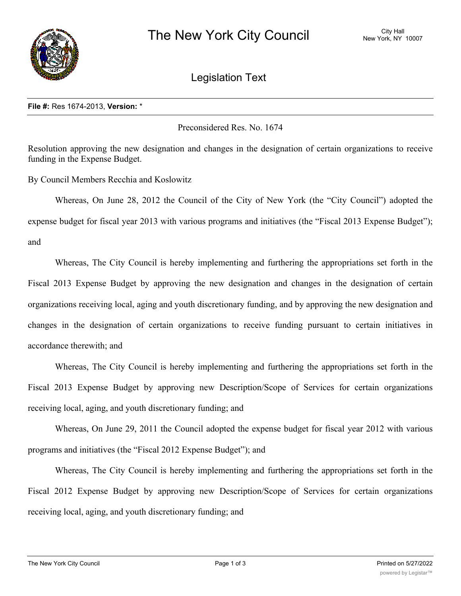

## Legislation Text

## **File #:** Res 1674-2013, **Version:** \*

Preconsidered Res. No. 1674

Resolution approving the new designation and changes in the designation of certain organizations to receive funding in the Expense Budget.

By Council Members Recchia and Koslowitz

Whereas, On June 28, 2012 the Council of the City of New York (the "City Council") adopted the expense budget for fiscal year 2013 with various programs and initiatives (the "Fiscal 2013 Expense Budget"); and

Whereas, The City Council is hereby implementing and furthering the appropriations set forth in the Fiscal 2013 Expense Budget by approving the new designation and changes in the designation of certain organizations receiving local, aging and youth discretionary funding, and by approving the new designation and changes in the designation of certain organizations to receive funding pursuant to certain initiatives in accordance therewith; and

Whereas, The City Council is hereby implementing and furthering the appropriations set forth in the Fiscal 2013 Expense Budget by approving new Description/Scope of Services for certain organizations receiving local, aging, and youth discretionary funding; and

Whereas, On June 29, 2011 the Council adopted the expense budget for fiscal year 2012 with various programs and initiatives (the "Fiscal 2012 Expense Budget"); and

Whereas, The City Council is hereby implementing and furthering the appropriations set forth in the Fiscal 2012 Expense Budget by approving new Description/Scope of Services for certain organizations receiving local, aging, and youth discretionary funding; and

 $R$ esolved, That the City Council approves the new designation and changes in the designation of designation of  $\alpha$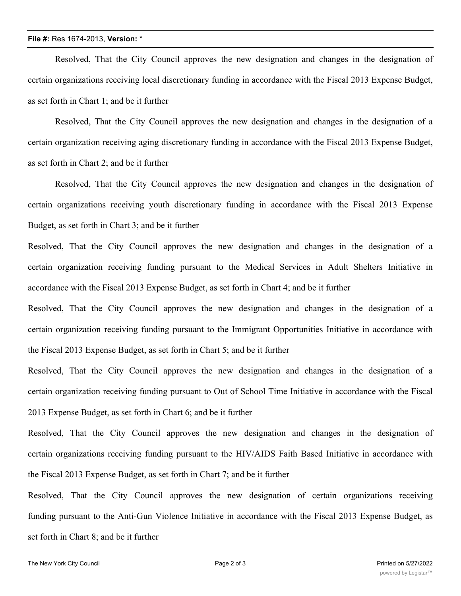## **File #:** Res 1674-2013, **Version:** \*

Resolved, That the City Council approves the new designation and changes in the designation of certain organizations receiving local discretionary funding in accordance with the Fiscal 2013 Expense Budget, as set forth in Chart 1; and be it further

Resolved, That the City Council approves the new designation and changes in the designation of a certain organization receiving aging discretionary funding in accordance with the Fiscal 2013 Expense Budget, as set forth in Chart 2; and be it further

Resolved, That the City Council approves the new designation and changes in the designation of certain organizations receiving youth discretionary funding in accordance with the Fiscal 2013 Expense Budget, as set forth in Chart 3; and be it further

Resolved, That the City Council approves the new designation and changes in the designation of a certain organization receiving funding pursuant to the Medical Services in Adult Shelters Initiative in accordance with the Fiscal 2013 Expense Budget, as set forth in Chart 4; and be it further

Resolved, That the City Council approves the new designation and changes in the designation of a certain organization receiving funding pursuant to the Immigrant Opportunities Initiative in accordance with the Fiscal 2013 Expense Budget, as set forth in Chart 5; and be it further

Resolved, That the City Council approves the new designation and changes in the designation of a certain organization receiving funding pursuant to Out of School Time Initiative in accordance with the Fiscal 2013 Expense Budget, as set forth in Chart 6; and be it further

Resolved, That the City Council approves the new designation and changes in the designation of certain organizations receiving funding pursuant to the HIV/AIDS Faith Based Initiative in accordance with the Fiscal 2013 Expense Budget, as set forth in Chart 7; and be it further

Resolved, That the City Council approves the new designation of certain organizations receiving funding pursuant to the Anti-Gun Violence Initiative in accordance with the Fiscal 2013 Expense Budget, as set forth in Chart 8; and be it further